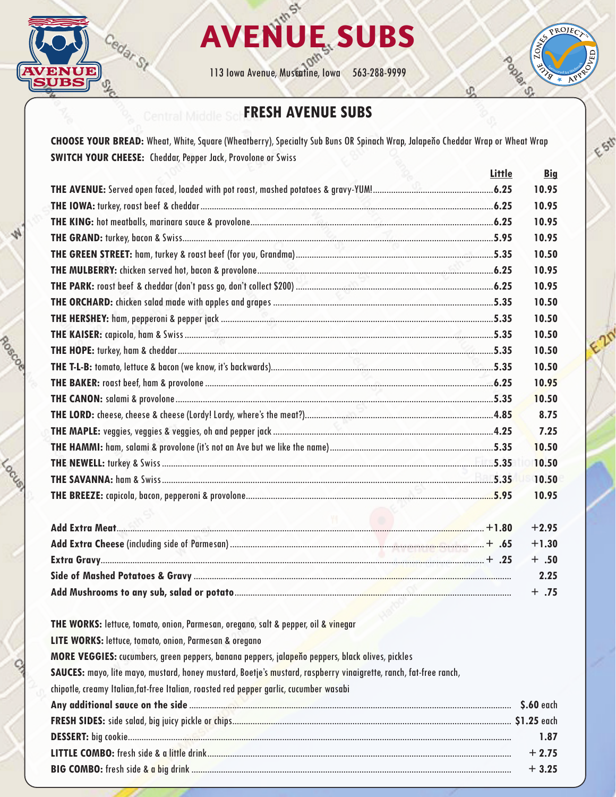

0000000

**CONSCRIPTION** 



113 Iowa Avenue, Muscatine, Iowa 563-288-9999

# Sponsored by Wellmark ď.

 $\mathscr{E}_{\mathscr{E}}$ 

# **FRESH AVENUE SUBS**

**CHOOSE YOUR BREAD:** Wheat, White, Square (Wheatberry), Specialty Sub Buns OR Spinach Wrap, Jalapeňo Cheddar Wrap or Wheat Wrap **SWITCH YOUR CHEESE:** Cheddar, Pepper Jack, Provolone or Swiss

|                                                                                                                                                                                                                                | Little | <b>Big</b> |
|--------------------------------------------------------------------------------------------------------------------------------------------------------------------------------------------------------------------------------|--------|------------|
|                                                                                                                                                                                                                                |        | 10.95      |
|                                                                                                                                                                                                                                |        | 10.95      |
|                                                                                                                                                                                                                                |        | 10.95      |
|                                                                                                                                                                                                                                |        | 10.95      |
|                                                                                                                                                                                                                                |        | 10.50      |
|                                                                                                                                                                                                                                |        | 10.95      |
|                                                                                                                                                                                                                                |        | 10.95      |
|                                                                                                                                                                                                                                |        | 10.50      |
|                                                                                                                                                                                                                                |        | 10.50      |
|                                                                                                                                                                                                                                |        | 10.50      |
|                                                                                                                                                                                                                                |        | 10.50      |
|                                                                                                                                                                                                                                |        | 10.50      |
|                                                                                                                                                                                                                                |        | 10.95      |
|                                                                                                                                                                                                                                |        | 10.50      |
|                                                                                                                                                                                                                                |        | 8.75       |
|                                                                                                                                                                                                                                |        | 7.25       |
|                                                                                                                                                                                                                                |        | 10.50      |
|                                                                                                                                                                                                                                |        | 10.50      |
|                                                                                                                                                                                                                                |        | 10.50      |
|                                                                                                                                                                                                                                |        | 10.95      |
|                                                                                                                                                                                                                                |        |            |
|                                                                                                                                                                                                                                |        | $+2.95$    |
|                                                                                                                                                                                                                                |        | $+1.30$    |
| 25. + 25. + شبكت المستوى المستوى المستوى المستوى المستوى المستوى المستوى المستوى المستوى المستوى المستوى المستوى المستوى المستوى المستوى المستوى المستوى المستوى المستوى المستوى المستوى المستوى المستوى المستوى المستوى المست |        | $+ .50$    |
|                                                                                                                                                                                                                                |        | 2.25       |
|                                                                                                                                                                                                                                |        | $+ .75$    |
|                                                                                                                                                                                                                                |        |            |

**THE WORKS:** lettuce, tomato, onion, Parmesan, oregano, salt & pepper, oil & vinegar

**LITE WORKS:** lettuce, tomato, onion, Parmesan & oregano

**MORE VEGGIES:** cucumbers, green peppers, banana peppers, jalapeňo peppers, black olives, pickles

**SAUCES:** mayo, lite mayo, mustard, honey mustard, Boetje's mustard, raspberry vinaigrette, ranch, fat-free ranch,

chipotle, creamy Italian,fat-free Italian, roasted red pepper garlic, cucumber wasabi

| S.60 each |
|-----------|
|           |
| 1.87      |
| $+2.75$   |
| $+3.25$   |